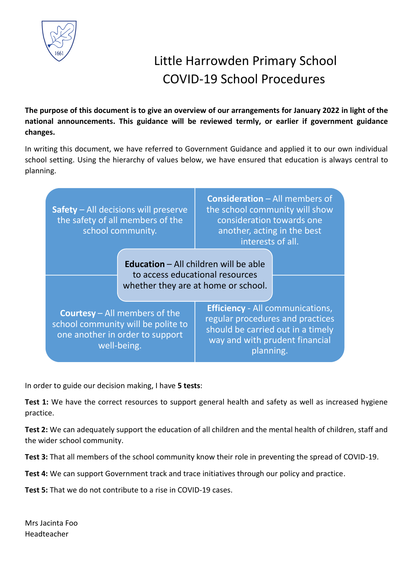

# Little Harrowden Primary School COVID-19 School Procedures

**The purpose of this document is to give an overview of our arrangements for January 2022 in light of the national announcements. This guidance will be reviewed termly, or earlier if government guidance changes.** 

In writing this document, we have referred to Government Guidance and applied it to our own individual school setting. Using the hierarchy of values below, we have ensured that education is always central to planning.



In order to guide our decision making, I have **5 tests**:

Test 1: We have the correct resources to support general health and safety as well as increased hygiene practice.

**Test 2:** We can adequately support the education of all children and the mental health of children, staff and the wider school community.

**Test 3:** That all members of the school community know their role in preventing the spread of COVID-19.

**Test 4:** We can support Government track and trace initiatives through our policy and practice.

**Test 5:** That we do not contribute to a rise in COVID-19 cases.

Mrs Jacinta Foo Headteacher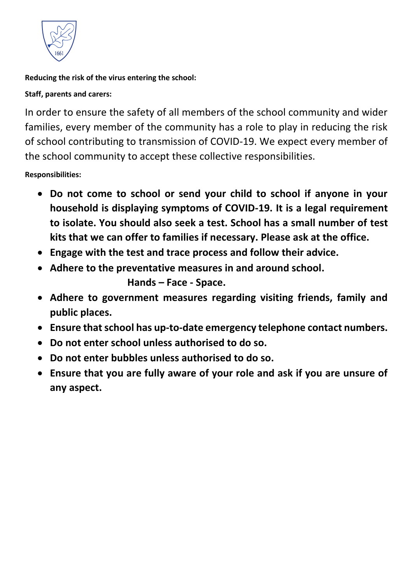

**Reducing the risk of the virus entering the school:**

**Staff, parents and carers:**

In order to ensure the safety of all members of the school community and wider families, every member of the community has a role to play in reducing the risk of school contributing to transmission of COVID-19. We expect every member of the school community to accept these collective responsibilities.

**Responsibilities:** 

- **Do not come to school or send your child to school if anyone in your household is displaying symptoms of COVID-19. It is a legal requirement to isolate. You should also seek a test. School has a small number of test kits that we can offer to families if necessary. Please ask at the office.**
- **Engage with the test and trace process and follow their advice.**
- **Adhere to the preventative measures in and around school.**

**Hands – Face - Space.**

- **Adhere to government measures regarding visiting friends, family and public places.**
- **Ensure that school has up-to-date emergency telephone contact numbers.**
- **Do not enter school unless authorised to do so.**
- **Do not enter bubbles unless authorised to do so.**
- **Ensure that you are fully aware of your role and ask if you are unsure of any aspect.**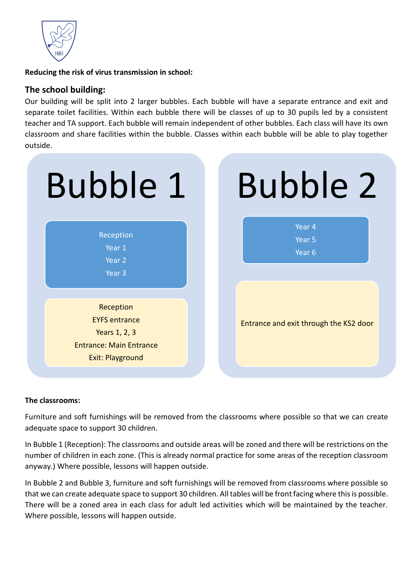

**Reducing the risk of virus transmission in school:** 

# **The school building:**

Our building will be split into 2 larger bubbles. Each bubble will have a separate entrance and exit and separate toilet facilities. Within each bubble there will be classes of up to 30 pupils led by a consistent teacher and TA support. Each bubble will remain independent of other bubbles. Each class will have its own classroom and share facilities within the bubble. Classes within each bubble will be able to play together outside.



#### **The classrooms:**

Furniture and soft furnishings will be removed from the classrooms where possible so that we can create adequate space to support 30 children.

In Bubble 1 (Reception): The classrooms and outside areas will be zoned and there will be restrictions on the number of children in each zone. (This is already normal practice for some areas of the reception classroom anyway.) Where possible, lessons will happen outside.

In Bubble 2 and Bubble 3, furniture and soft furnishings will be removed from classrooms where possible so that we can create adequate space to support 30 children. All tables will be front facing where this is possible. There will be a zoned area in each class for adult led activities which will be maintained by the teacher. Where possible, lessons will happen outside.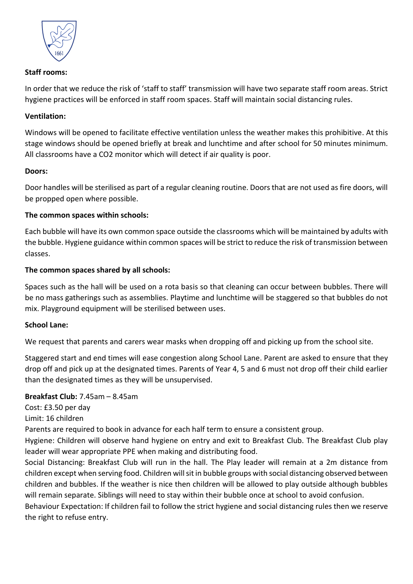

# **Staff rooms:**

In order that we reduce the risk of 'staff to staff' transmission will have two separate staff room areas. Strict hygiene practices will be enforced in staff room spaces. Staff will maintain social distancing rules.

# **Ventilation:**

Windows will be opened to facilitate effective ventilation unless the weather makes this prohibitive. At this stage windows should be opened briefly at break and lunchtime and after school for 50 minutes minimum. All classrooms have a CO2 monitor which will detect if air quality is poor.

## **Doors:**

Door handles will be sterilised as part of a regular cleaning routine. Doors that are not used as fire doors, will be propped open where possible.

## **The common spaces within schools:**

Each bubble will have its own common space outside the classrooms which will be maintained by adults with the bubble. Hygiene guidance within common spaces will be strict to reduce the risk of transmission between classes.

## **The common spaces shared by all schools:**

Spaces such as the hall will be used on a rota basis so that cleaning can occur between bubbles. There will be no mass gatherings such as assemblies. Playtime and lunchtime will be staggered so that bubbles do not mix. Playground equipment will be sterilised between uses.

#### **School Lane:**

We request that parents and carers wear masks when dropping off and picking up from the school site.

Staggered start and end times will ease congestion along School Lane. Parent are asked to ensure that they drop off and pick up at the designated times. Parents of Year 4, 5 and 6 must not drop off their child earlier than the designated times as they will be unsupervised.

# **Breakfast Club:** 7.45am – 8.45am

Cost: £3.50 per day

Limit: 16 children

Parents are required to book in advance for each half term to ensure a consistent group.

Hygiene: Children will observe hand hygiene on entry and exit to Breakfast Club. The Breakfast Club play leader will wear appropriate PPE when making and distributing food.

Social Distancing: Breakfast Club will run in the hall. The Play leader will remain at a 2m distance from children except when serving food. Children will sit in bubble groups with social distancing observed between children and bubbles. If the weather is nice then children will be allowed to play outside although bubbles will remain separate. Siblings will need to stay within their bubble once at school to avoid confusion.

Behaviour Expectation: If children fail to follow the strict hygiene and social distancing rules then we reserve the right to refuse entry.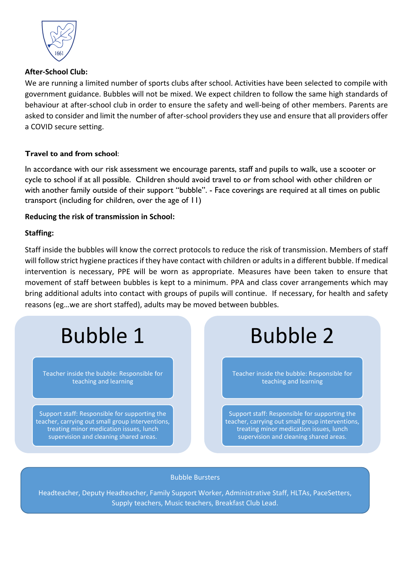

## **After-School Club:**

We are running a limited number of sports clubs after school. Activities have been selected to compile with government guidance. Bubbles will not be mixed. We expect children to follow the same high standards of behaviour at after-school club in order to ensure the safety and well-being of other members. Parents are asked to consider and limit the number of after-school providers they use and ensure that all providers offer a COVID secure setting.

## **Travel to and from school**:

In accordance with our risk assessment we encourage parents, staff and pupils to walk, use a scooter or cycle to school if at all possible. Children should avoid travel to or from school with other children or with another family outside of their support ''bubble''. - Face coverings are required at all times on public transport (including for children, over the age of 11)

## **Reducing the risk of transmission in School:**

## **Staffing:**

Staff inside the bubbles will know the correct protocols to reduce the risk of transmission. Members of staff will follow strict hygiene practices if they have contact with children or adultsin a different bubble. If medical intervention is necessary, PPE will be worn as appropriate. Measures have been taken to ensure that movement of staff between bubbles is kept to a minimum. PPA and class cover arrangements which may bring additional adults into contact with groups of pupils will continue. If necessary, for health and safety reasons (eg…we are short staffed), adults may be moved between bubbles.

Bubble 1

Teacher inside the bubble: Responsible for teaching and learning

Support staff: Responsible for supporting the teacher, carrying out small group interventions, treating minor medication issues, lunch supervision and cleaning shared areas.

Bubble 2

Teacher inside the bubble: Responsible for teaching and learning

Support staff: Responsible for supporting the teacher, carrying out small group interventions, treating minor medication issues, lunch supervision and cleaning shared areas.

#### Bubble Bursters

Headteacher, Deputy Headteacher, Family Support Worker, Administrative Staff, HLTAs, PaceSetters, Supply teachers, Music teachers, Breakfast Club Lead.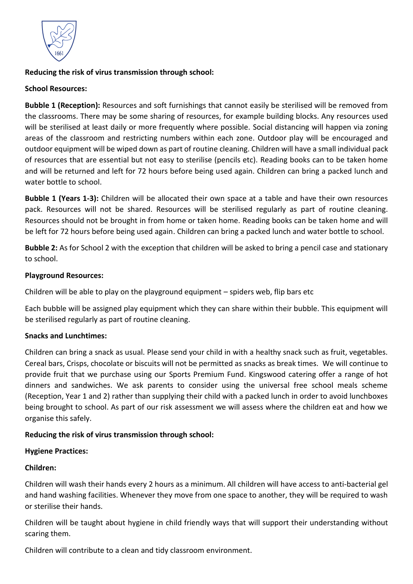

# **Reducing the risk of virus transmission through school:**

# **School Resources:**

**Bubble 1 (Reception):** Resources and soft furnishings that cannot easily be sterilised will be removed from the classrooms. There may be some sharing of resources, for example building blocks. Any resources used will be sterilised at least daily or more frequently where possible. Social distancing will happen via zoning areas of the classroom and restricting numbers within each zone. Outdoor play will be encouraged and outdoor equipment will be wiped down as part of routine cleaning. Children will have a small individual pack of resources that are essential but not easy to sterilise (pencils etc). Reading books can to be taken home and will be returned and left for 72 hours before being used again. Children can bring a packed lunch and water bottle to school.

**Bubble 1 (Years 1-3):** Children will be allocated their own space at a table and have their own resources pack. Resources will not be shared. Resources will be sterilised regularly as part of routine cleaning. Resources should not be brought in from home or taken home. Reading books can be taken home and will be left for 72 hours before being used again. Children can bring a packed lunch and water bottle to school.

**Bubble 2:** As for School 2 with the exception that children will be asked to bring a pencil case and stationary to school.

# **Playground Resources:**

Children will be able to play on the playground equipment – spiders web, flip bars etc

Each bubble will be assigned play equipment which they can share within their bubble. This equipment will be sterilised regularly as part of routine cleaning.

# **Snacks and Lunchtimes:**

Children can bring a snack as usual. Please send your child in with a healthy snack such as fruit, vegetables. Cereal bars, Crisps, chocolate or biscuits will not be permitted as snacks as break times. We will continue to provide fruit that we purchase using our Sports Premium Fund. Kingswood catering offer a range of hot dinners and sandwiches. We ask parents to consider using the universal free school meals scheme (Reception, Year 1 and 2) rather than supplying their child with a packed lunch in order to avoid lunchboxes being brought to school. As part of our risk assessment we will assess where the children eat and how we organise this safely.

# **Reducing the risk of virus transmission through school:**

#### **Hygiene Practices:**

# **Children:**

Children will wash their hands every 2 hours as a minimum. All children will have access to anti-bacterial gel and hand washing facilities. Whenever they move from one space to another, they will be required to wash or sterilise their hands.

Children will be taught about hygiene in child friendly ways that will support their understanding without scaring them.

Children will contribute to a clean and tidy classroom environment.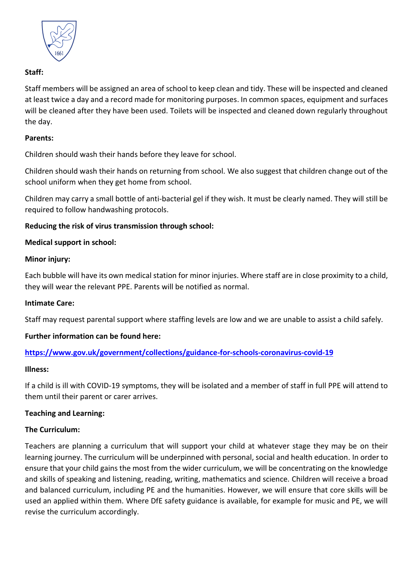

# **Staff:**

Staff members will be assigned an area of school to keep clean and tidy. These will be inspected and cleaned at least twice a day and a record made for monitoring purposes. In common spaces, equipment and surfaces will be cleaned after they have been used. Toilets will be inspected and cleaned down regularly throughout the day.

#### **Parents:**

Children should wash their hands before they leave for school.

Children should wash their hands on returning from school. We also suggest that children change out of the school uniform when they get home from school.

Children may carry a small bottle of anti-bacterial gel if they wish. It must be clearly named. They will still be required to follow handwashing protocols.

## **Reducing the risk of virus transmission through school:**

## **Medical support in school:**

#### **Minor injury:**

Each bubble will have its own medical station for minor injuries. Where staff are in close proximity to a child, they will wear the relevant PPE. Parents will be notified as normal.

#### **Intimate Care:**

Staff may request parental support where staffing levels are low and we are unable to assist a child safely.

#### **Further information can be found here:**

# **<https://www.gov.uk/government/collections/guidance-for-schools-coronavirus-covid-19>**

#### **Illness:**

If a child is ill with COVID-19 symptoms, they will be isolated and a member of staff in full PPE will attend to them until their parent or carer arrives.

#### **Teaching and Learning:**

#### **The Curriculum:**

Teachers are planning a curriculum that will support your child at whatever stage they may be on their learning journey. The curriculum will be underpinned with personal, social and health education. In order to ensure that your child gains the most from the wider curriculum, we will be concentrating on the knowledge and skills of speaking and listening, reading, writing, mathematics and science. Children will receive a broad and balanced curriculum, including PE and the humanities. However, we will ensure that core skills will be used an applied within them. Where DfE safety guidance is available, for example for music and PE, we will revise the curriculum accordingly.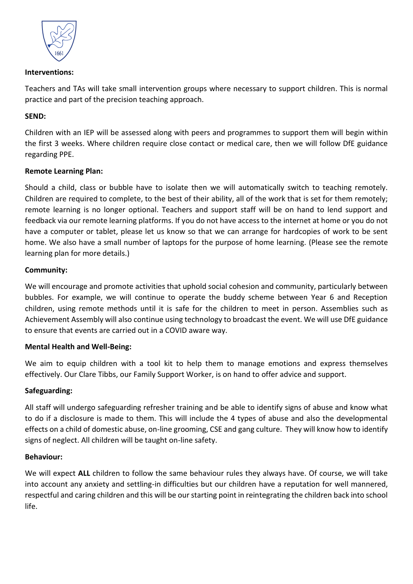

#### **Interventions:**

Teachers and TAs will take small intervention groups where necessary to support children. This is normal practice and part of the precision teaching approach.

# **SEND:**

Children with an IEP will be assessed along with peers and programmes to support them will begin within the first 3 weeks. Where children require close contact or medical care, then we will follow DfE guidance regarding PPE.

## **Remote Learning Plan:**

Should a child, class or bubble have to isolate then we will automatically switch to teaching remotely. Children are required to complete, to the best of their ability, all of the work that is set for them remotely; remote learning is no longer optional. Teachers and support staff will be on hand to lend support and feedback via our remote learning platforms. If you do not have access to the internet at home or you do not have a computer or tablet, please let us know so that we can arrange for hardcopies of work to be sent home. We also have a small number of laptops for the purpose of home learning. (Please see the remote learning plan for more details.)

## **Community:**

We will encourage and promote activities that uphold social cohesion and community, particularly between bubbles. For example, we will continue to operate the buddy scheme between Year 6 and Reception children, using remote methods until it is safe for the children to meet in person. Assemblies such as Achievement Assembly will also continue using technology to broadcast the event. We will use DfE guidance to ensure that events are carried out in a COVID aware way.

# **Mental Health and Well-Being:**

We aim to equip children with a tool kit to help them to manage emotions and express themselves effectively. Our Clare Tibbs, our Family Support Worker, is on hand to offer advice and support.

# **Safeguarding:**

All staff will undergo safeguarding refresher training and be able to identify signs of abuse and know what to do if a disclosure is made to them. This will include the 4 types of abuse and also the developmental effects on a child of domestic abuse, on-line grooming, CSE and gang culture. They will know how to identify signs of neglect. All children will be taught on-line safety.

#### **Behaviour:**

We will expect **ALL** children to follow the same behaviour rules they always have. Of course, we will take into account any anxiety and settling-in difficulties but our children have a reputation for well mannered, respectful and caring children and this will be our starting point in reintegrating the children back into school life.